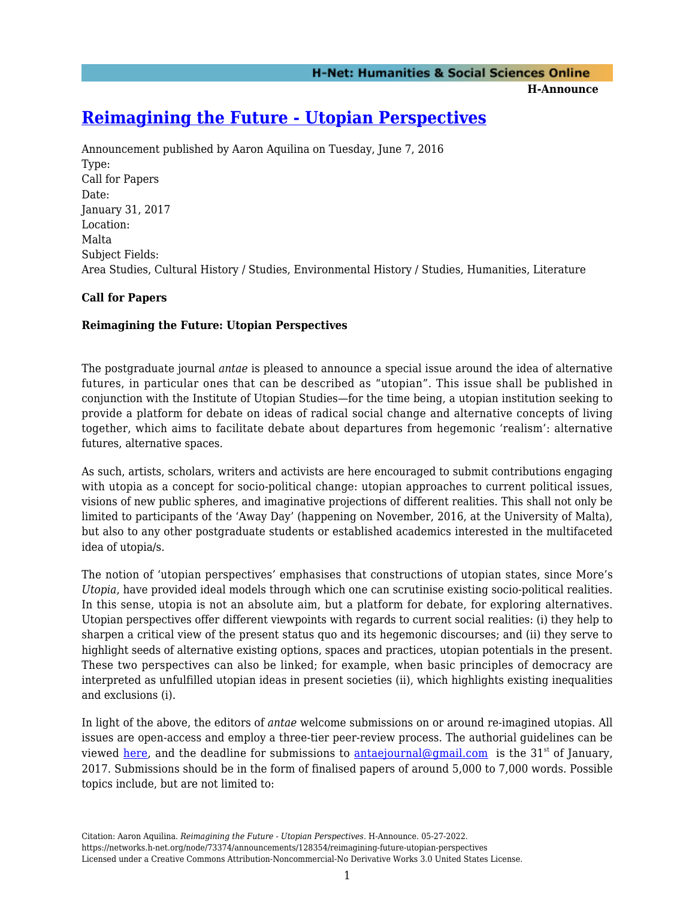**H-Announce** 

# **[Reimagining the Future - Utopian Perspectives](https://networks.h-net.org/node/73374/announcements/128354/reimagining-future-utopian-perspectives)**

Announcement published by Aaron Aquilina on Tuesday, June 7, 2016 Type: Call for Papers Date: January 31, 2017 Location: Malta Subject Fields: Area Studies, Cultural History / Studies, Environmental History / Studies, Humanities, Literature

## **Call for Papers**

## **Reimagining the Future: Utopian Perspectives**

The postgraduate journal *antae* is pleased to announce a special issue around the idea of alternative futures, in particular ones that can be described as "utopian". This issue shall be published in conjunction with the Institute of Utopian Studies—for the time being, a utopian institution seeking to provide a platform for debate on ideas of radical social change and alternative concepts of living together, which aims to facilitate debate about departures from hegemonic 'realism': alternative futures, alternative spaces.

As such, artists, scholars, writers and activists are here encouraged to submit contributions engaging with utopia as a concept for socio-political change: utopian approaches to current political issues, visions of new public spheres, and imaginative projections of different realities. This shall not only be limited to participants of the 'Away Day' (happening on November, 2016, at the University of Malta), but also to any other postgraduate students or established academics interested in the multifaceted idea of utopia/s.

The notion of 'utopian perspectives' emphasises that constructions of utopian states, since More's *Utopia*, have provided ideal models through which one can scrutinise existing socio-political realities. In this sense, utopia is not an absolute aim, but a platform for debate, for exploring alternatives. Utopian perspectives offer different viewpoints with regards to current social realities: (i) they help to sharpen a critical view of the present status quo and its hegemonic discourses; and (ii) they serve to highlight seeds of alternative existing options, spaces and practices, utopian potentials in the present. These two perspectives can also be linked; for example, when basic principles of democracy are interpreted as unfulfilled utopian ideas in present societies (ii), which highlights existing inequalities and exclusions (i).

In light of the above, the editors of *antae* welcome submissions on or around re-imagined utopias. All issues are open-access and employ a three-tier peer-review process. The authorial guidelines can be viewed [here](https://antaejournal.com/#/submit), and the deadline for submissions to [antaejournal@gmail.com](mailto:antaejournal@gmail.com) is the 31<sup>st</sup> of January, 2017. Submissions should be in the form of finalised papers of around 5,000 to 7,000 words. Possible topics include, but are not limited to: